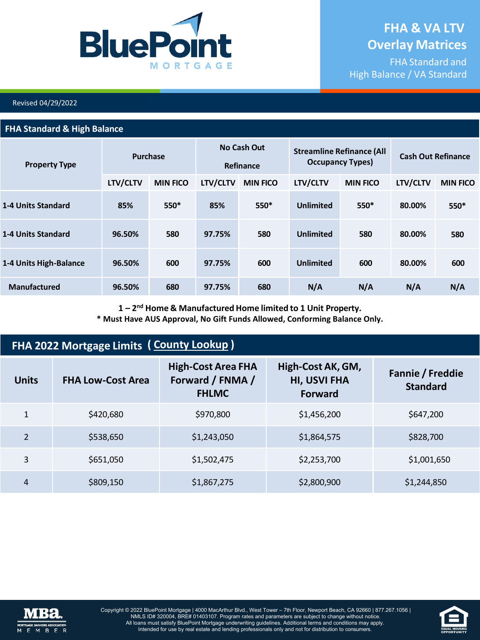

FHA Standard and High Balance / VA Standard

#### Revised 04/29/2022

#### **FHA Standard & High Balance**

| <b>Property Type</b>      | <b>Purchase</b> |                 | No Cash Out<br>Refinance |                 | <b>Streamline Refinance (All</b><br><b>Occupancy Types)</b> |                 | <b>Cash Out Refinance</b> |                 |
|---------------------------|-----------------|-----------------|--------------------------|-----------------|-------------------------------------------------------------|-----------------|---------------------------|-----------------|
|                           | LTV/CLTV        | <b>MIN FICO</b> | LTV/CLTV                 | <b>MIN FICO</b> | LTV/CLTV                                                    | <b>MIN FICO</b> | LTV/CLTV                  | <b>MIN FICO</b> |
| <b>1-4 Units Standard</b> | 85%             | $550*$          | 85%                      | 550*            | <b>Unlimited</b>                                            | 550*            | 80.00%                    | $550*$          |
| <b>1-4 Units Standard</b> | 96.50%          | 580             | 97.75%                   | 580             | <b>Unlimited</b>                                            | 580             | 80.00%                    | 580             |
| 1-4 Units High-Balance    | 96.50%          | 600             | 97.75%                   | 600             | <b>Unlimited</b>                                            | 600             | 80.00%                    | 600             |
| <b>Manufactured</b>       | 96.50%          | 680             | 97.75%                   | 680             | N/A                                                         | N/A             | N/A                       | N/A             |

**1 – 2nd Home & Manufactured Home limited to 1 Unit Property.**

**\* Must Have AUS Approval, No Gift Funds Allowed, Conforming Balance Only.**

| FHA 2022 Mortgage Limits (County Lookup) |                          |                                                               |                                                            |                                     |  |  |  |
|------------------------------------------|--------------------------|---------------------------------------------------------------|------------------------------------------------------------|-------------------------------------|--|--|--|
| <b>Units</b>                             | <b>FHA Low-Cost Area</b> | <b>High-Cost Area FHA</b><br>Forward / FNMA /<br><b>FHLMC</b> | High-Cost AK, GM,<br><b>HI, USVI FHA</b><br><b>Forward</b> | Fannie / Freddie<br><b>Standard</b> |  |  |  |
| $\mathbf{1}$                             | \$420,680                | \$970,800                                                     | \$1,456,200                                                | \$647,200                           |  |  |  |
| $\mathfrak{D}$                           | \$538,650                | \$1,243,050                                                   | \$1,864,575                                                | \$828,700                           |  |  |  |
| 3                                        | \$651,050                | \$1,502,475                                                   | \$2,253,700                                                | \$1,001,650                         |  |  |  |
| 4                                        | \$809,150                | \$1,867,275                                                   | \$2,800,900                                                | \$1,244,850                         |  |  |  |



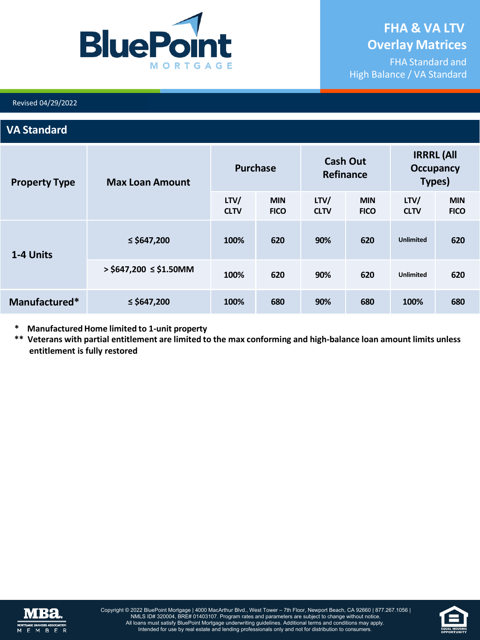

FHA Standard and High Balance / VA Standard

#### Revised 04/29/2022

### **VA Standard**

| <b>Property Type</b> | <b>Max Loan Amount</b>       | <b>Purchase</b>     |                           | <b>Cash Out</b><br>Refinance |                           | <b>IRRRL (All</b><br><b>Occupancy</b><br>Types) |                           |
|----------------------|------------------------------|---------------------|---------------------------|------------------------------|---------------------------|-------------------------------------------------|---------------------------|
|                      |                              | LTV/<br><b>CLTV</b> | <b>MIN</b><br><b>FICO</b> | LTV/<br><b>CLTV</b>          | <b>MIN</b><br><b>FICO</b> | LTV/<br><b>CLTV</b>                             | <b>MIN</b><br><b>FICO</b> |
| 1-4 Units            | ≤ \$647,200                  | 100%                | 620                       | 90%                          | 620                       | <b>Unlimited</b>                                | 620                       |
|                      | $>$ \$647,200 $\le$ \$1.50MM | 100%                | 620                       | 90%                          | 620                       | <b>Unlimited</b>                                | 620                       |
| Manufactured*        | $\le$ \$647,200              | 100%                | 680                       | 90%                          | 680                       | 100%                                            | 680                       |

- **\* Manufactured Home limited to 1-unit property**
- \*\* Veterans with partial entitlement are limited to the max conforming and high-balance loan amount limits unless **entitlement is fully restored**



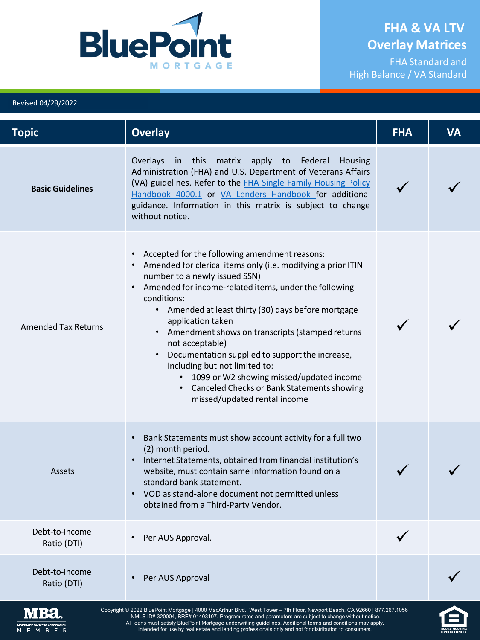

FHA Standard and High Balance / VA Standard

### Copyright © 2022 BluePoint Mortgage | 4000 MacArthur Blvd., West Tower – 7th Floor, Newport Beach, CA 92660 | 877.267.1056 | **Topic Overlay FHA VA Basic Guidelines** Overlays in this matrix apply to Federal Housing Administration (FHA) and U.S. Department of Veterans Affairs [\(VA\) guidelines. Refer to the FHA Single Family Housing Policy](https://www.hud.gov/program_offices/housing/sfh/handbook_4000-1) [Handbook 4000.1](https://www.hud.gov/program_offices/housing/sfh/handbook_4000-1) or [VA Lenders Handbook](https://benefits.va.gov/warms/pam26_7.asp) [for additional](https://www.hud.gov/program_offices/housing/sfh/handbook_4000-1) guidance. Information in this matrix is subject to change without notice.  $\checkmark$ Amended Tax Returns • Accepted for the following amendment reasons: • Amended for clerical items only (i.e. modifying a prior ITIN number to a newly issued SSN) • Amended for income-related items, under the following conditions: • Amended at least thirty (30) days before mortgage application taken • Amendment shows on transcripts (stamped returns not acceptable) • Documentation supplied to support the increase, including but not limited to: • 1099 or W2 showing missed/updated income • Canceled Checks or Bank Statements showing missed/updated rental income  $\checkmark$ Assets • Bank Statements must show account activity for a full two (2) month period. • Internet Statements, obtained from financial institution's website, must contain same information found on a standard bank statement. • VOD asstand-alone document not permitted unless obtained from a Third-Party Vendor.  $\checkmark$ Debt-to-Income Ratio (DTI) • Per AUS Approval. Debt-to-Income bt-to-Income<br>Ratio (DTI) • Per AUS Approval



Revised 04/29/2022

NMLS ID# 320004, BRE# 01403107. Program rates and parameters are subject to change without notice. All loans must satisfy BluePoint Mortgage underwriting guidelines. Additional terms and conditions may apply. Intended for use by real estate and lending professionals only and not for distribution to consumers.

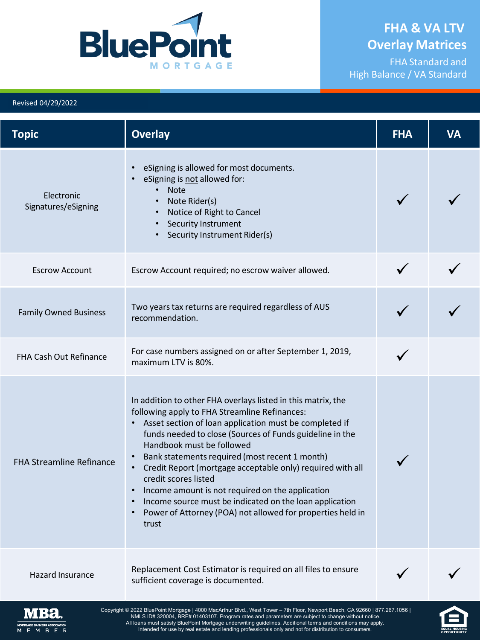

EQUAL HOUSING

FHA Standard and High Balance / VA Standard

#### Revised 04/29/2022

<span id="page-3-0"></span>

| <b>Topic</b>                      | <b>Overlay</b>                                                                                                                                                                                                                                                                                                                                                                                                                                                                                                                                                                                              | <b>FHA</b> | <b>VA</b> |
|-----------------------------------|-------------------------------------------------------------------------------------------------------------------------------------------------------------------------------------------------------------------------------------------------------------------------------------------------------------------------------------------------------------------------------------------------------------------------------------------------------------------------------------------------------------------------------------------------------------------------------------------------------------|------------|-----------|
| Electronic<br>Signatures/eSigning | eSigning is allowed for most documents.<br>eSigning is not allowed for:<br><b>Note</b><br>Note Rider(s)<br>Notice of Right to Cancel<br>Security Instrument<br>Security Instrument Rider(s)                                                                                                                                                                                                                                                                                                                                                                                                                 |            |           |
| <b>Escrow Account</b>             | Escrow Account required; no escrow waiver allowed.                                                                                                                                                                                                                                                                                                                                                                                                                                                                                                                                                          |            |           |
| <b>Family Owned Business</b>      | Two years tax returns are required regardless of AUS<br>recommendation.                                                                                                                                                                                                                                                                                                                                                                                                                                                                                                                                     |            |           |
| <b>FHA Cash Out Refinance</b>     | For case numbers assigned on or after September 1, 2019,<br>maximum LTV is 80%.                                                                                                                                                                                                                                                                                                                                                                                                                                                                                                                             |            |           |
| <b>FHA Streamline Refinance</b>   | In addition to other FHA overlays listed in this matrix, the<br>following apply to FHA Streamline Refinances:<br>Asset section of loan application must be completed if<br>funds needed to close (Sources of Funds guideline in the<br>Handbook must be followed<br>Bank statements required (most recent 1 month)<br>Credit Report (mortgage acceptable only) required with all<br>$\bullet$<br>credit scores listed<br>Income amount is not required on the application<br>Income source must be indicated on the loan application<br>Power of Attorney (POA) not allowed for properties held in<br>trust |            |           |
| <b>Hazard Insurance</b>           | Replacement Cost Estimator is required on all files to ensure<br>sufficient coverage is documented.                                                                                                                                                                                                                                                                                                                                                                                                                                                                                                         |            |           |
| WIBBI<br>в.                       | Copyright © 2022 BluePoint Mortgage   4000 MacArthur Blvd., West Tower - 7th Floor, Newport Beach, CA 92660   877.267.1056  <br>NMLS ID# 320004, BRE# 01403107. Program rates and parameters are subject to change without notice.<br>All loans must satisfy BluePoint Mortgage underwriting guidelines. Additional terms and conditions may apply.<br>Intended for use by real estate and lending professionals only and not for distribution to consumers.                                                                                                                                                |            |           |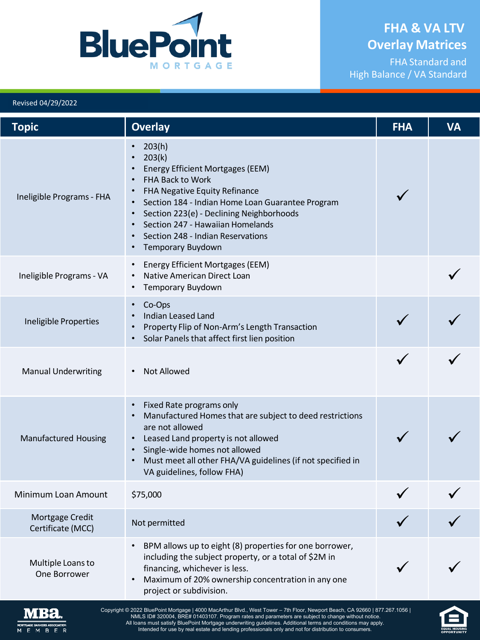FHA Standard and High Balance / VA Standard



#### Revised 04/29/2022

| <b>Topic</b>                         | <b>Overlay</b>                                                                                                                                                                                                                                                                                                            | <b>FHA</b> | <b>VA</b> |
|--------------------------------------|---------------------------------------------------------------------------------------------------------------------------------------------------------------------------------------------------------------------------------------------------------------------------------------------------------------------------|------------|-----------|
| Ineligible Programs - FHA            | • $203(h)$<br>203(k)<br><b>Energy Efficient Mortgages (EEM)</b><br><b>FHA Back to Work</b><br>FHA Negative Equity Refinance<br>Section 184 - Indian Home Loan Guarantee Program<br>Section 223(e) - Declining Neighborhoods<br>Section 247 - Hawaiian Homelands<br>Section 248 - Indian Reservations<br>Temporary Buydown |            |           |
| Ineligible Programs - VA             | <b>Energy Efficient Mortgages (EEM)</b><br>Native American Direct Loan<br>Temporary Buydown                                                                                                                                                                                                                               |            |           |
| Ineligible Properties                | Co-Ops<br><b>Indian Leased Land</b><br>Property Flip of Non-Arm's Length Transaction<br>Solar Panels that affect first lien position                                                                                                                                                                                      |            |           |
| <b>Manual Underwriting</b>           | <b>Not Allowed</b>                                                                                                                                                                                                                                                                                                        |            |           |
| <b>Manufactured Housing</b>          | Fixed Rate programs only<br>Manufactured Homes that are subject to deed restrictions<br>are not allowed<br>• Leased Land property is not allowed<br>Single-wide homes not allowed<br>Must meet all other FHA/VA guidelines (if not specified in<br>VA guidelines, follow FHA)                                             |            |           |
| Minimum Loan Amount                  | \$75,000                                                                                                                                                                                                                                                                                                                  |            |           |
| Mortgage Credit<br>Certificate (MCC) | Not permitted                                                                                                                                                                                                                                                                                                             |            |           |
| Multiple Loans to<br>One Borrower    | BPM allows up to eight (8) properties for one borrower,<br>including the subject property, or a total of \$2M in<br>financing, whichever is less.<br>Maximum of 20% ownership concentration in any one<br>project or subdivision.                                                                                         |            |           |
| <b>MBa</b>                           | Copyright © 2022 BluePoint Mortgage   4000 MacArthur Blvd., West Tower – 7th Floor, Newport Beach, CA 92660   877.267.1056  <br>S ID# 320004, RPE# 01403107, Program rates and parameters are subject to change without                                                                                                   |            |           |



NMLS ID# 320004, BRE# 01403107. Program rates and parameters are subject to change without notice.<br>All loans must satisfy BluePoint Mortgage underwriting guidelines. Additional terms and conditions may apply.<br>Intended for

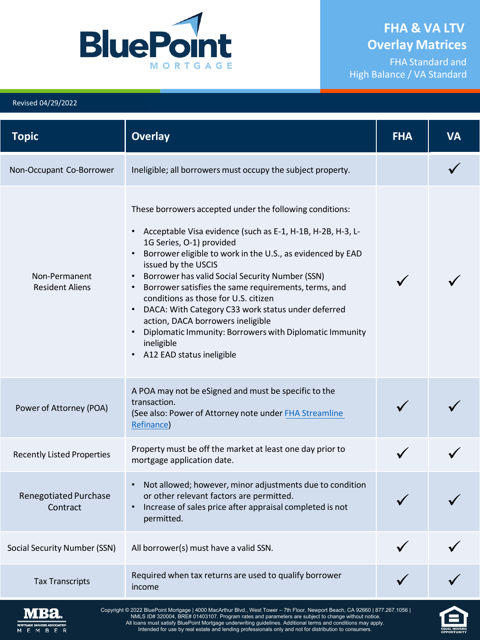

**EQUAL HOUSING**<br>OPPORTUNITY

FHA Standard and High Balance / VA Standard

#### Revised 04/29/2022

| <b>Topic</b>                             | <b>Overlay</b>                                                                                                                                                                                                                                                                                                                                                                                                                                                                                                                                                                                                                                    | <b>FHA</b> | <b>VA</b> |
|------------------------------------------|---------------------------------------------------------------------------------------------------------------------------------------------------------------------------------------------------------------------------------------------------------------------------------------------------------------------------------------------------------------------------------------------------------------------------------------------------------------------------------------------------------------------------------------------------------------------------------------------------------------------------------------------------|------------|-----------|
| Non-Occupant Co-Borrower                 | Ineligible; all borrowers must occupy the subject property.                                                                                                                                                                                                                                                                                                                                                                                                                                                                                                                                                                                       |            |           |
| Non-Permanent<br><b>Resident Aliens</b>  | These borrowers accepted under the following conditions:<br>• Acceptable Visa evidence (such as E-1, H-1B, H-2B, H-3, L-<br>1G Series, O-1) provided<br>Borrower eligible to work in the U.S., as evidenced by EAD<br>$\bullet$<br>issued by the USCIS<br>Borrower has valid Social Security Number (SSN)<br>$\bullet$<br>Borrower satisfies the same requirements, terms, and<br>$\bullet$<br>conditions as those for U.S. citizen<br>DACA: With Category C33 work status under deferred<br>action, DACA borrowers ineligible<br>Diplomatic Immunity: Borrowers with Diplomatic Immunity<br>ineligible<br>A12 EAD status ineligible<br>$\bullet$ |            |           |
| Power of Attorney (POA)                  | A POA may not be eSigned and must be specific to the<br>transaction.<br>(See also: Power of Attorney note under FHA Streamline<br>Refinance)                                                                                                                                                                                                                                                                                                                                                                                                                                                                                                      |            |           |
| <b>Recently Listed Properties</b>        | Property must be off the market at least one day prior to<br>mortgage application date.                                                                                                                                                                                                                                                                                                                                                                                                                                                                                                                                                           |            |           |
| <b>Renegotiated Purchase</b><br>Contract | Not allowed; however, minor adjustments due to condition<br>$\bullet$<br>or other relevant factors are permitted.<br>• Increase of sales price after appraisal completed is not<br>permitted.                                                                                                                                                                                                                                                                                                                                                                                                                                                     |            |           |
| <b>Social Security Number (SSN)</b>      | All borrower(s) must have a valid SSN.                                                                                                                                                                                                                                                                                                                                                                                                                                                                                                                                                                                                            |            |           |
| <b>Tax Transcripts</b>                   | Required when tax returns are used to qualify borrower<br>income                                                                                                                                                                                                                                                                                                                                                                                                                                                                                                                                                                                  |            |           |
| GAGE BANKERS ASSOCIATION<br>M B E<br>Е.  | Copyright © 2022 BluePoint Mortgage   4000 MacArthur Blvd., West Tower - 7th Floor, Newport Beach, CA 92660   877.267.1056  <br>NMLS ID# 320004, BRE# 01403107. Program rates and parameters are subject to change without notice.<br>All loans must satisfy BluePoint Mortgage underwriting guidelines. Additional terms and conditions may apply.<br>Intended for use by real estate and lending professionals only and not for distribution to consumers.                                                                                                                                                                                      |            |           |